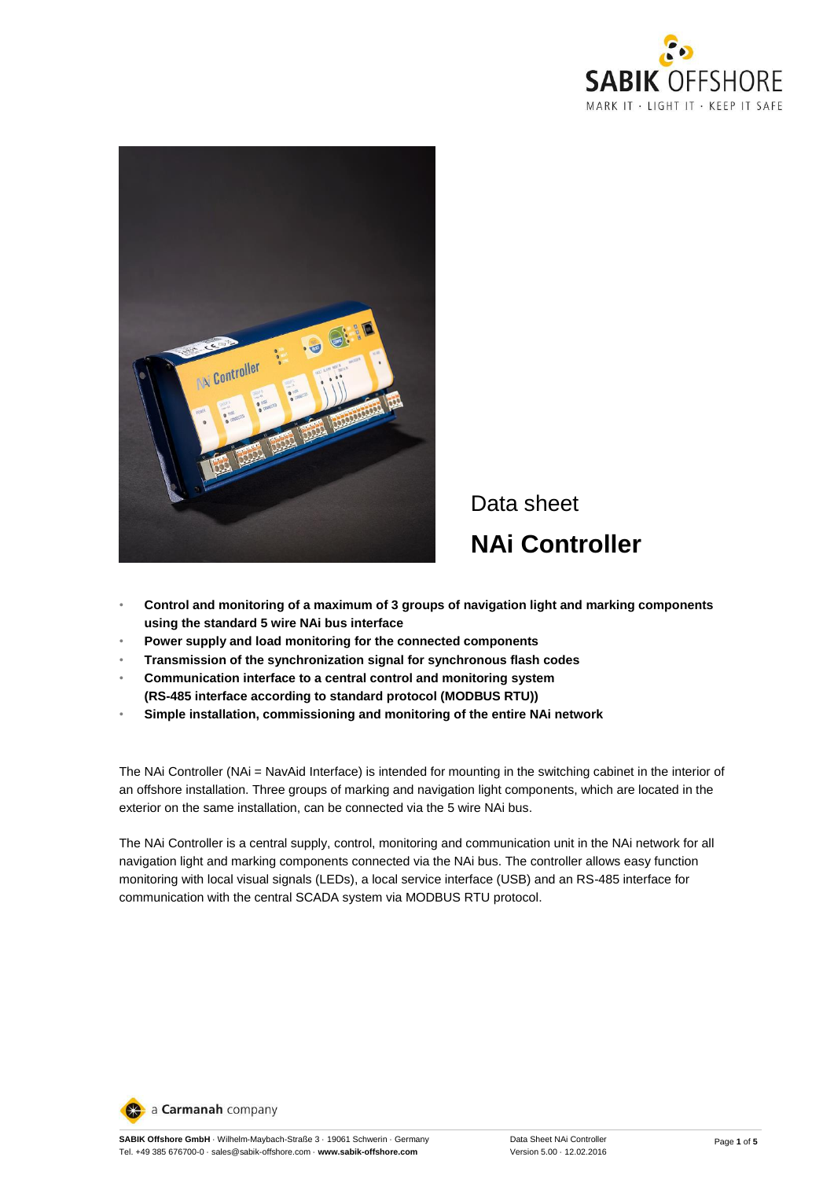



# Data sheet **NAi Controller**

- **Control and monitoring of a maximum of 3 groups of navigation light and marking components using the standard 5 wire NAi bus interface**
- **Power supply and load monitoring for the connected components**
- **Transmission of the synchronization signal for synchronous flash codes**
- **Communication interface to a central control and monitoring system (RS-485 interface according to standard protocol (MODBUS RTU))**
- **Simple installation, commissioning and monitoring of the entire NAi network**

The NAi Controller (NAi = NavAid Interface) is intended for mounting in the switching cabinet in the interior of an offshore installation. Three groups of marking and navigation light components, which are located in the exterior on the same installation, can be connected via the 5 wire NAi bus.

The NAi Controller is a central supply, control, monitoring and communication unit in the NAi network for all navigation light and marking components connected via the NAi bus. The controller allows easy function monitoring with local visual signals (LEDs), a local service interface (USB) and an RS-485 interface for communication with the central SCADA system via MODBUS RTU protocol.

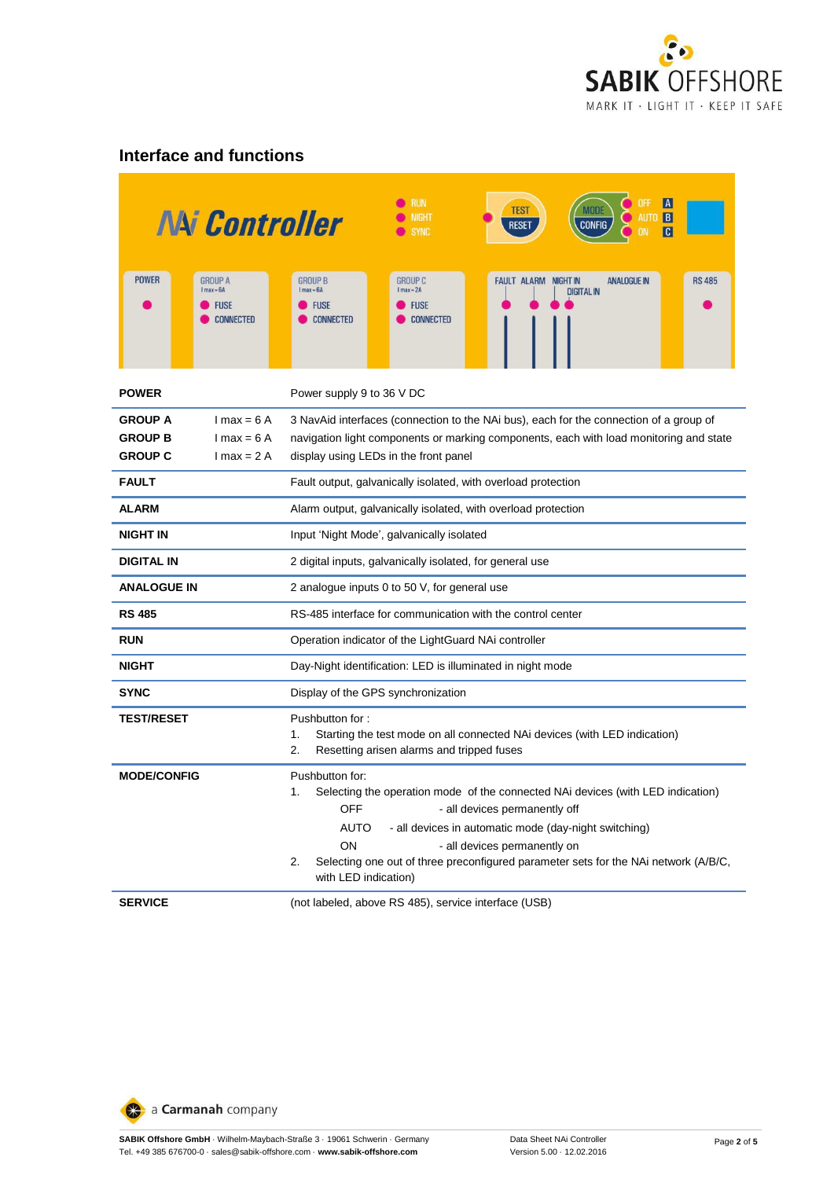

#### **Interface and functions**

|                                                    | <b>NAi Controller</b>                                                           | RUN<br>TEST<br>MODI<br><b>IIGHT</b><br><b>B</b><br><b>CONFIG</b><br><b>RESET</b><br><b>SYNC</b><br>C                                                                                                                                                                                                                                                                         |  |  |  |
|----------------------------------------------------|---------------------------------------------------------------------------------|------------------------------------------------------------------------------------------------------------------------------------------------------------------------------------------------------------------------------------------------------------------------------------------------------------------------------------------------------------------------------|--|--|--|
| <b>POWER</b>                                       | <b>GROUP A</b><br>$l$ max $-6A$<br><b>FUSE</b><br><b>CONNECTED</b>              | <b>GROUP B</b><br><b>GROUP C</b><br><b>FAULT ALARM NIGHT IN</b><br><b>ANALOGUE IN</b><br><b>RS 485</b><br>$l$ max $-6A$<br>$1$ max $-2A$<br><b>DIGITAL IN</b><br><b>FUSE</b><br><b>FUSE</b><br><b>CONNECTED</b><br><b>CONNECTED</b>                                                                                                                                          |  |  |  |
| <b>POWER</b>                                       | Power supply 9 to 36 V DC                                                       |                                                                                                                                                                                                                                                                                                                                                                              |  |  |  |
| <b>GROUP A</b><br><b>GROUP B</b><br><b>GROUP C</b> | $1 \text{ max} = 6 \text{ A}$<br>$1$ max = 6 A<br>$1 \text{ max} = 2 \text{ A}$ | 3 NavAid interfaces (connection to the NAi bus), each for the connection of a group of<br>navigation light components or marking components, each with load monitoring and state<br>display using LEDs in the front panel                                                                                                                                                    |  |  |  |
| <b>FAULT</b>                                       |                                                                                 | Fault output, galvanically isolated, with overload protection                                                                                                                                                                                                                                                                                                                |  |  |  |
| ALARM                                              |                                                                                 | Alarm output, galvanically isolated, with overload protection                                                                                                                                                                                                                                                                                                                |  |  |  |
| <b>NIGHT IN</b>                                    |                                                                                 | Input 'Night Mode', galvanically isolated                                                                                                                                                                                                                                                                                                                                    |  |  |  |
| <b>DIGITAL IN</b>                                  |                                                                                 | 2 digital inputs, galvanically isolated, for general use                                                                                                                                                                                                                                                                                                                     |  |  |  |
| <b>ANALOGUE IN</b>                                 |                                                                                 | 2 analogue inputs 0 to 50 V, for general use                                                                                                                                                                                                                                                                                                                                 |  |  |  |
| <b>RS 485</b>                                      |                                                                                 | RS-485 interface for communication with the control center                                                                                                                                                                                                                                                                                                                   |  |  |  |
| <b>RUN</b>                                         |                                                                                 | Operation indicator of the LightGuard NAi controller                                                                                                                                                                                                                                                                                                                         |  |  |  |
| <b>NIGHT</b>                                       |                                                                                 | Day-Night identification: LED is illuminated in night mode                                                                                                                                                                                                                                                                                                                   |  |  |  |
| SYNC                                               |                                                                                 | Display of the GPS synchronization                                                                                                                                                                                                                                                                                                                                           |  |  |  |
| <b>TEST/RESET</b>                                  |                                                                                 | Pushbutton for:<br>Starting the test mode on all connected NAi devices (with LED indication)<br>1.<br>2.<br>Resetting arisen alarms and tripped fuses                                                                                                                                                                                                                        |  |  |  |
| <b>MODE/CONFIG</b>                                 |                                                                                 | Pushbutton for:<br>Selecting the operation mode of the connected NAi devices (with LED indication)<br>1.<br>- all devices permanently off<br>OFF<br>- all devices in automatic mode (day-night switching)<br>AUTO<br>ON<br>- all devices permanently on<br>Selecting one out of three preconfigured parameter sets for the NAi network (A/B/C,<br>2.<br>with LED indication) |  |  |  |
| <b>SERVICE</b>                                     |                                                                                 | (not labeled, above RS 485), service interface (USB)                                                                                                                                                                                                                                                                                                                         |  |  |  |

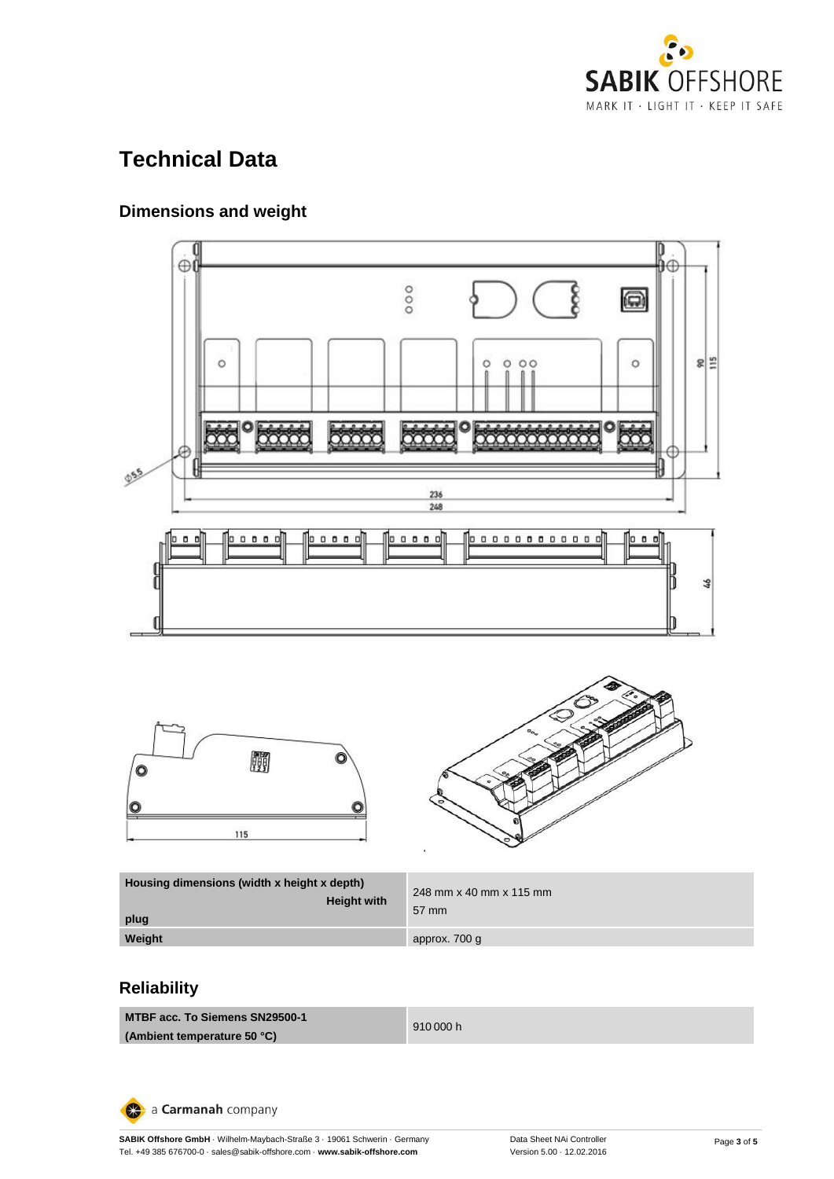

# **Technical Data**

#### **Dimensions and weight**







| Housing dimensions (width x height x depth)<br><b>Height with</b><br>plug | 248 mm x 40 mm x 115 mm<br>57 mm |
|---------------------------------------------------------------------------|----------------------------------|
| Weight                                                                    | approx. 700 g                    |

#### **Reliability**

**MTBF acc. To Siemens SN29500-1 (Ambient temperature 50 °C)**

910 000 h

a Carmanah company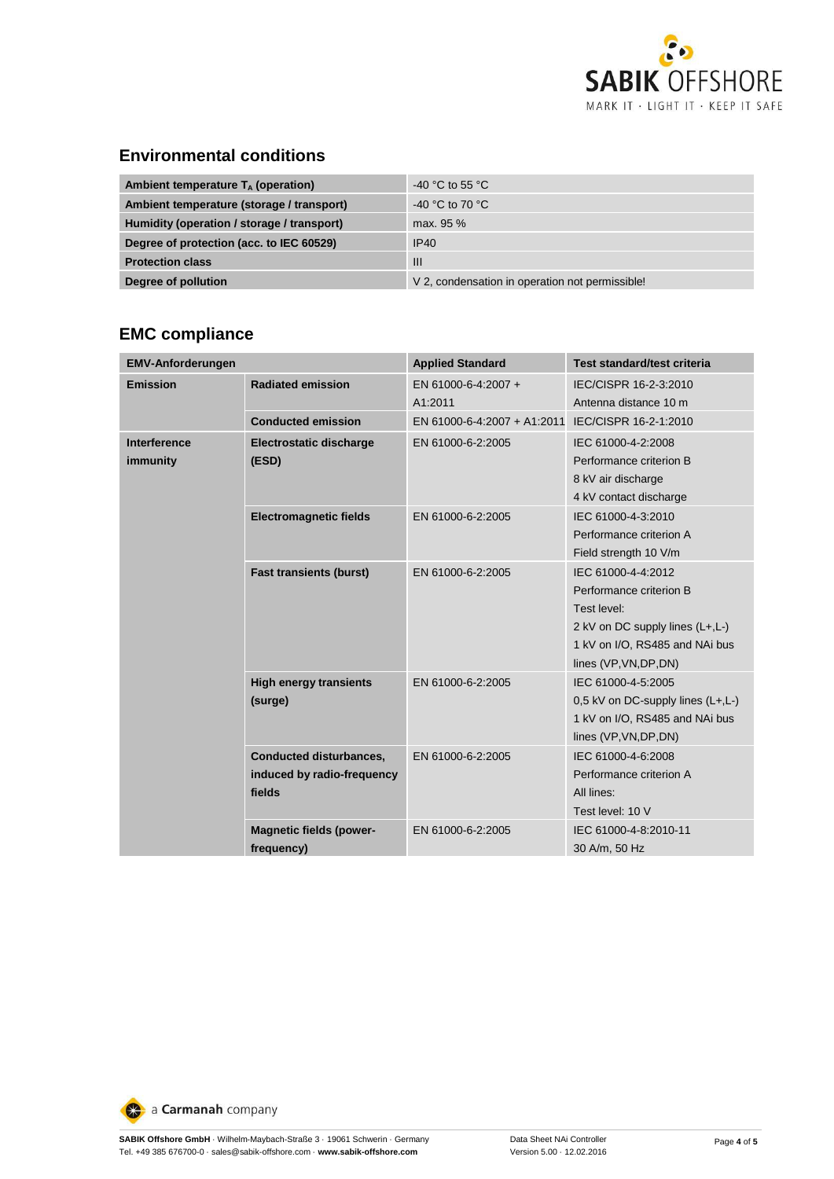

#### **Environmental conditions**

| Ambient temperature $T_A$ (operation)      | -40 °C to 55 °C                                 |
|--------------------------------------------|-------------------------------------------------|
| Ambient temperature (storage / transport)  | -40 °C to 70 °C                                 |
| Humidity (operation / storage / transport) | max. 95 %                                       |
| Degree of protection (acc. to IEC 60529)   | IP40                                            |
| <b>Protection class</b>                    | Ш                                               |
| Degree of pollution                        | V 2, condensation in operation not permissible! |

#### **EMC compliance**

| <b>EMV-Anforderungen</b> |                                                                        | <b>Applied Standard</b>        | Test standard/test criteria                                                                                                                                 |
|--------------------------|------------------------------------------------------------------------|--------------------------------|-------------------------------------------------------------------------------------------------------------------------------------------------------------|
| <b>Emission</b>          | <b>Radiated emission</b>                                               | EN 61000-6-4:2007 +<br>A1:2011 | IEC/CISPR 16-2-3:2010<br>Antenna distance 10 m                                                                                                              |
|                          | <b>Conducted emission</b>                                              | EN 61000-6-4:2007 + A1:2011    | IEC/CISPR 16-2-1:2010                                                                                                                                       |
| Interference<br>immunity | <b>Electrostatic discharge</b><br>(ESD)                                | EN 61000-6-2:2005              | IEC 61000-4-2:2008<br>Performance criterion B<br>8 kV air discharge<br>4 kV contact discharge                                                               |
|                          | <b>Electromagnetic fields</b>                                          | EN 61000-6-2:2005              | IEC 61000-4-3:2010<br>Performance criterion A<br>Field strength 10 V/m                                                                                      |
|                          | <b>Fast transients (burst)</b>                                         | EN 61000-6-2:2005              | IEC 61000-4-4:2012<br>Performance criterion B<br>Test level:<br>2 kV on DC supply lines (L+,L-)<br>1 kV on I/O, RS485 and NAi bus<br>lines (VP, VN, DP, DN) |
|                          | <b>High energy transients</b><br>(surge)                               | EN 61000-6-2:2005              | IEC 61000-4-5:2005<br>0,5 kV on DC-supply lines $(L+, L-)$<br>1 kV on I/O, RS485 and NAi bus<br>lines (VP, VN, DP, DN)                                      |
|                          | <b>Conducted disturbances,</b><br>induced by radio-frequency<br>fields | EN 61000-6-2:2005              | IEC 61000-4-6:2008<br>Performance criterion A<br>All lines:<br>Test level: 10 V                                                                             |
|                          | <b>Magnetic fields (power-</b><br>frequency)                           | EN 61000-6-2:2005              | IEC 61000-4-8:2010-11<br>30 A/m, 50 Hz                                                                                                                      |